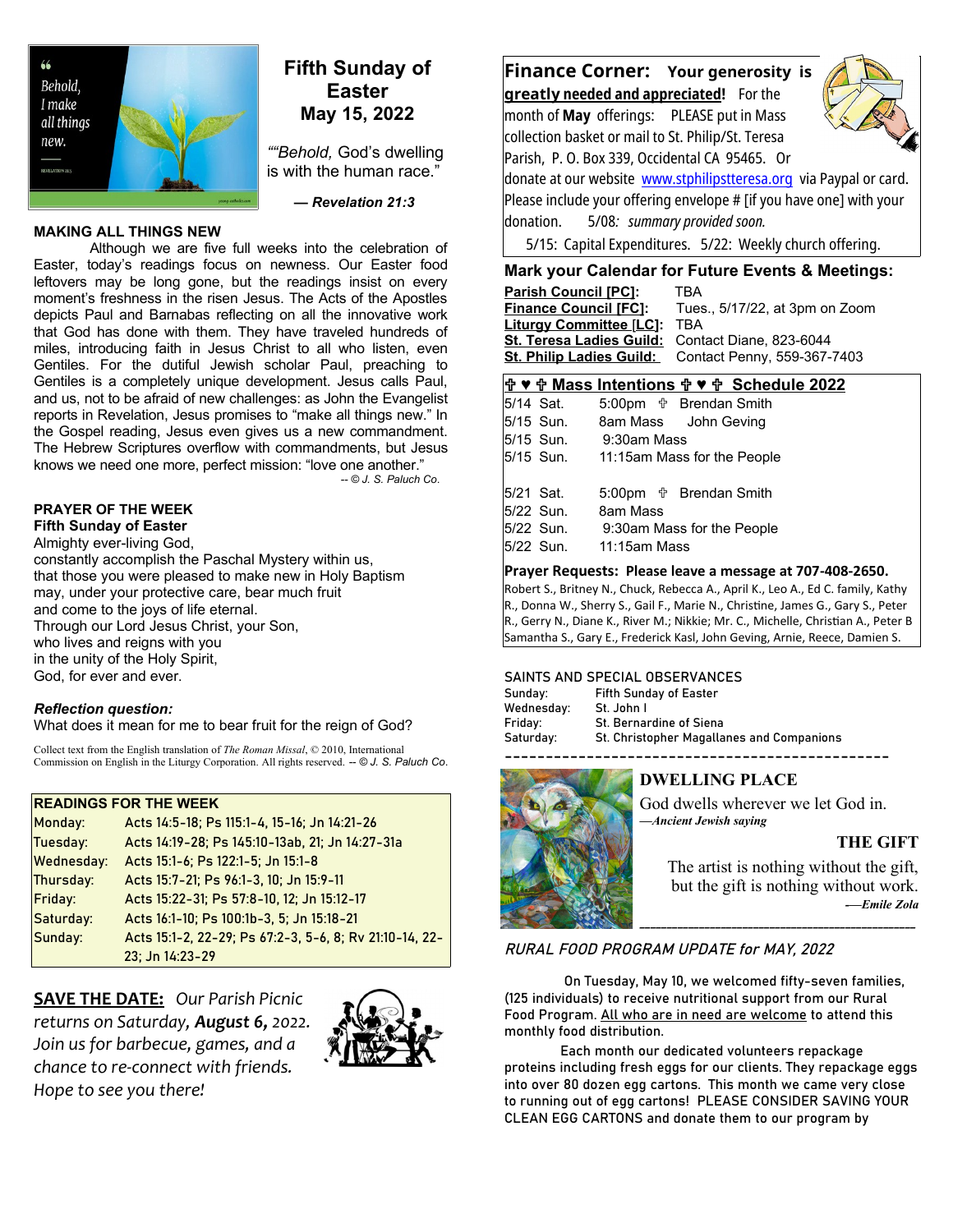

# **Fifth Sunday of Easter May 15, 2022**

*""Behold,* God's dwelling is with the human race."

 *— Revelation 21:3*

## **MAKING ALL THINGS NEW**

Although we are five full weeks into the celebration of Easter, today's readings focus on newness. Our Easter food leftovers may be long gone, but the readings insist on every moment's freshness in the risen Jesus. The Acts of the Apostles depicts Paul and Barnabas reflecting on all the innovative work that God has done with them. They have traveled hundreds of miles, introducing faith in Jesus Christ to all who listen, even Gentiles. For the dutiful Jewish scholar Paul, preaching to Gentiles is a completely unique development. Jesus calls Paul, and us, not to be afraid of new challenges: as John the Evangelist reports in Revelation, Jesus promises to "make all things new." In the Gospel reading, Jesus even gives us a new commandment. The Hebrew Scriptures overflow with commandments, but Jesus knows we need one more, perfect mission: "love one another."

*-- © J. S. Paluch Co*.

#### **PRAYER OF THE WEEK Fifth Sunday of Easter**

Almighty ever-living God, constantly accomplish the Paschal Mystery within us, that those you were pleased to make new in Holy Baptism may, under your protective care, bear much fruit and come to the joys of life eternal. Through our Lord Jesus Christ, your Son, who lives and reigns with you in the unity of the Holy Spirit, God, for ever and ever.

## *Reflection question:*

What does it mean for me to bear fruit for the reign of God?

Collect text from the English translation of *The Roman Missal*, © 2010, International Commission on English in the Liturgy Corporation. All rights reserved. *-- © J. S. Paluch Co*.

# **READINGS FOR THE WEEK**

| Monday:           | Acts 14:5-18; Ps 115:1-4, 15-16; Jn 14:21-26            |
|-------------------|---------------------------------------------------------|
| Tuesday:          | Acts 14:19-28; Ps 145:10-13ab, 21; Jn 14:27-31a         |
| <b>Wednesday:</b> | Acts 15:1-6; Ps 122:1-5; Jn 15:1-8                      |
| Thursday:         | Acts 15:7-21; Ps 96:1-3, 10; Jn 15:9-11                 |
| Friday:           | Acts 15:22-31; Ps 57:8-10, 12; Jn 15:12-17              |
| Saturday:         | Acts 16:1-10; Ps 100:1b-3, 5; Jn 15:18-21               |
| Sunday:           | Acts 15:1-2, 22-29; Ps 67:2-3, 5-6, 8; Rv 21:10-14, 22- |
|                   | 23; Jn 14:23-29                                         |

**SAVE THE DATE:** *Our Parish Picnic returns on Saturday, August 6, 2022. Join us for barbecue, games, and a chance to re-connect with friends. Hope to see you there!*



# **Finance Corner: Your generosity is**

 **greatl y needed and appreciated!** For the month of **May** offerings: PLEASE put in Mass collection basket or mail to St. Philip/St. Teresa Parish, P. O. Box 339, Occidental CA 95465. Or



donate at our website [www.stphilipstteresa.org](http://www.stphilipstteresa.org/) via Paypal or card. Please include your offering envelope # [if you have one] with your donation. 5/08*: summary provided soon.*

5/15: Capital Expenditures. 5/22: Weekly church offering.

# **Mark your Calendar for Future Events & Meetings:**

**Parish Council [PC]: TBA<br><u>Finance Council [FC</u>]: Tues Finance Council [FC]:** Tues., 5/17/22, at 3pm on Zoom **Liturgy Committee** [**LC]:** TBA **St. Teresa Ladies Guild:** Contact Diane, 823-6044 **St. Philip Ladies Guild:** Contact Penny, 559-367-7403

## **♥ Mass Intentions ♥ Schedule 2022**

5/14 Sat. 5:00pm  $\frac{1}{10}$  Brendan Smith 5/15 Sun. 8am Mass John Geving 5/15 Sun. 9:30am Mass 5/15 Sun. 11:15am Mass for the People 5/21 Sat. 5:00pm  $\frac{4}{3}$  Brendan Smith 5/22 Sun. 8am Mass 5/22 Sun. 9:30am Mass for the People 5/22 Sun. 11:15am Mass

### **Prayer Requests: Please leave a message at 707-408-2650.**

Robert S., Britney N., Chuck, Rebecca A., April K., Leo A., Ed C. family, Kathy R., Donna W., Sherry S., Gail F., Marie N., Christine, James G., Gary S., Peter R., Gerry N., Diane K., River M.; Nikkie; Mr. C., Michelle, Christian A., Peter B Samantha S., Gary E., Frederick Kasl, John Geving, Arnie, Reece, Damien S.

### SAINTS AND SPECIAL OBSERVANCES

| Sunday:    | <b>Fifth Sunday of Easter</b>             |
|------------|-------------------------------------------|
| Wednesday: | St. John I                                |
| Friday:    | <b>St. Bernardine of Siena</b>            |
| Saturday:  | St. Christopher Magallanes and Companions |
|            |                                           |



# **DWELLING PLACE**

God dwells wherever we let God in. *—Ancient Jewish saying*

# **THE GIFT**

The artist is nothing without the gift, but the gift is nothing without work. *-—Emile Zola*

\_\_\_\_\_\_\_\_\_\_\_\_\_\_\_\_\_\_\_\_\_\_\_\_\_\_\_\_\_\_\_\_\_\_\_\_\_\_\_\_\_\_\_\_\_\_\_\_\_\_\_

# RURAL FOOD PROGRAM UPDATE for MAY, 2022

 On Tuesday, May 10, we welcomed fifty-seven families, (125 individuals) to receive nutritional support from our Rural Food Program. All who are in need are welcome to attend this monthly food distribution.

Each month our dedicated volunteers repackage proteins including fresh eggs for our clients. They repackage eggs into over 80 dozen egg cartons. This month we came very close to running out of egg cartons! PLEASE CONSIDER SAVING YOUR CLEAN EGG CARTONS and donate them to our program by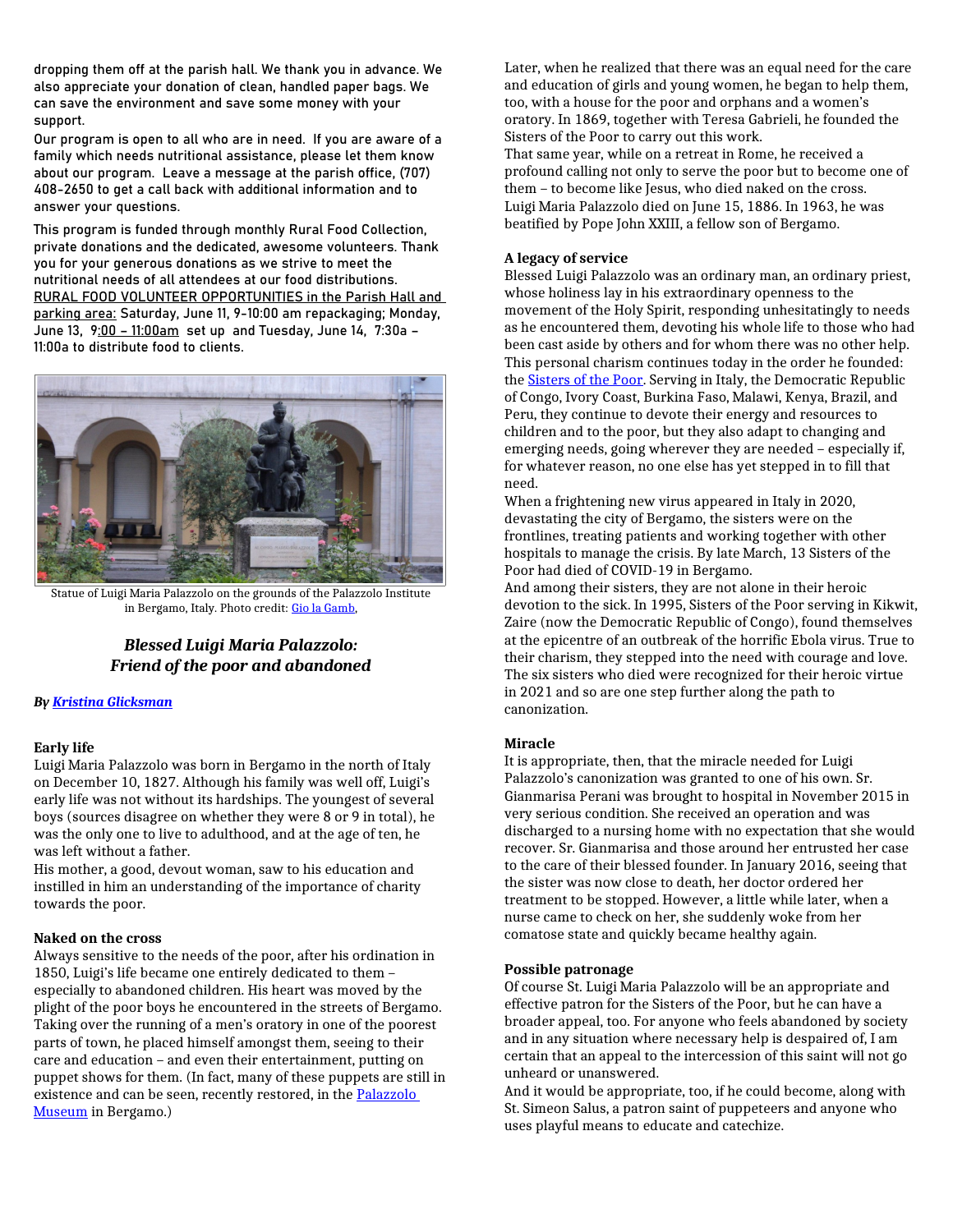dropping them off at the parish hall. We thank you in advance. We also appreciate your donation of clean, handled paper bags. We can save the environment and save some money with your support.

Our program is open to all who are in need. If you are aware of a family which needs nutritional assistance, please let them know about our program. Leave a message at the parish office, (707) 408-2650 to get a call back with additional information and to answer your questions.

This program is funded through monthly Rural Food Collection, private donations and the dedicated, awesome volunteers. Thank you for your generous donations as we strive to meet the nutritional needs of all attendees at our food distributions. RURAL FOOD VOLUNTEER OPPORTUNITIES in the Parish Hall and parking area: Saturday, June 11, 9-10:00 am repackaging; Monday, June 13, 9:00 – 11:00am set up and Tuesday, June 14, 7:30a – 11:00a to distribute food to clients.



Statue of Luigi Maria Palazzolo on the grounds of the Palazzolo Institute in Bergamo, Italy. Photo credit: [Gio la Gamb](https://commons.wikimedia.org/wiki/File:Don_%22Palazzolo%22_-_panoramio.jpg),

# *Blessed Luigi Maria Palazzolo: Friend of the poor and abandoned*

### *By [Kristina Glicksman](https://slmedia.org/blog/blessed-luigi-maria-palazzolo-friend-of-the-poor-and-abandoned)*

### **Early life**

Luigi Maria Palazzolo was born in Bergamo in the north of Italy on December 10, 1827. Although his family was well off, Luigi's early life was not without its hardships. The youngest of several boys (sources disagree on whether they were 8 or 9 in total), he was the only one to live to adulthood, and at the age of ten, he was left without a father.

His mother, a good, devout woman, saw to his education and instilled in him an understanding of the importance of charity towards the poor.

### **Naked on the cross**

Always sensitive to the needs of the poor, after his ordination in 1850, Luigi's life became one entirely dedicated to them – especially to abandoned children. His heart was moved by the plight of the poor boys he encountered in the streets of Bergamo. Taking over the running of a men's oratory in one of the poorest parts of town, he placed himself amongst them, seeing to their care and education – and even their entertainment, putting on puppet shows for them. (In fact, many of these puppets are still in existence and can be seen, recently restored, in the [Palazzolo](https://www.suoredellepoverelle.it/ita/museo/)  [Museum](https://www.suoredellepoverelle.it/ita/museo/) in Bergamo.)

Later, when he realized that there was an equal need for the care and education of girls and young women, he began to help them, too, with a house for the poor and orphans and a women's oratory. In 1869, together with Teresa Gabrieli, he founded the Sisters of the Poor to carry out this work.

That same year, while on a retreat in Rome, he received a profound calling not only to serve the poor but to become one of them – to become like Jesus, who died naked on the cross. Luigi Maria Palazzolo died on June 15, 1886. In 1963, he was beatified by Pope John XXIII, a fellow son of Bergamo.

### **A legacy of service**

Blessed Luigi Palazzolo was an ordinary man, an ordinary priest, whose holiness lay in his extraordinary openness to the movement of the Holy Spirit, responding unhesitatingly to needs as he encountered them, devoting his whole life to those who had been cast aside by others and for whom there was no other help. This personal charism continues today in the order he founded: the [Sisters of the Poor](https://www.suoredellepoverelle.it/ita/). Serving in Italy, the Democratic Republic of Congo, Ivory Coast, Burkina Faso, Malawi, Kenya, Brazil, and Peru, they continue to devote their energy and resources to children and to the poor, but they also adapt to changing and emerging needs, going wherever they are needed – especially if, for whatever reason, no one else has yet stepped in to fill that need.

When a frightening new virus appeared in Italy in 2020, devastating the city of Bergamo, the sisters were on the frontlines, treating patients and working together with other hospitals to manage the crisis. By late March, 13 Sisters of the Poor had died of COVID-19 in Bergamo.

And among their sisters, they are not alone in their heroic devotion to the sick. In 1995, Sisters of the Poor serving in Kikwit, Zaire (now the Democratic Republic of Congo), found themselves at the epicentre of an outbreak of the horrific Ebola virus. True to their charism, they stepped into the need with courage and love. The six sisters who died were recognized for their heroic virtue in 2021 and so are one step further along the path to canonization.

### **Miracle**

It is appropriate, then, that the miracle needed for Luigi Palazzolo's canonization was granted to one of his own. Sr. Gianmarisa Perani was brought to hospital in November 2015 in very serious condition. She received an operation and was discharged to a nursing home with no expectation that she would recover. Sr. Gianmarisa and those around her entrusted her case to the care of their blessed founder. In January 2016, seeing that the sister was now close to death, her doctor ordered her treatment to be stopped. However, a little while later, when a nurse came to check on her, she suddenly woke from her comatose state and quickly became healthy again.

### **Possible patronage**

Of course St. Luigi Maria Palazzolo will be an appropriate and effective patron for the Sisters of the Poor, but he can have a broader appeal, too. For anyone who feels abandoned by society and in any situation where necessary help is despaired of, I am certain that an appeal to the intercession of this saint will not go unheard or unanswered.

And it would be appropriate, too, if he could become, along with St. Simeon Salus, a patron saint of puppeteers and anyone who uses playful means to educate and catechize.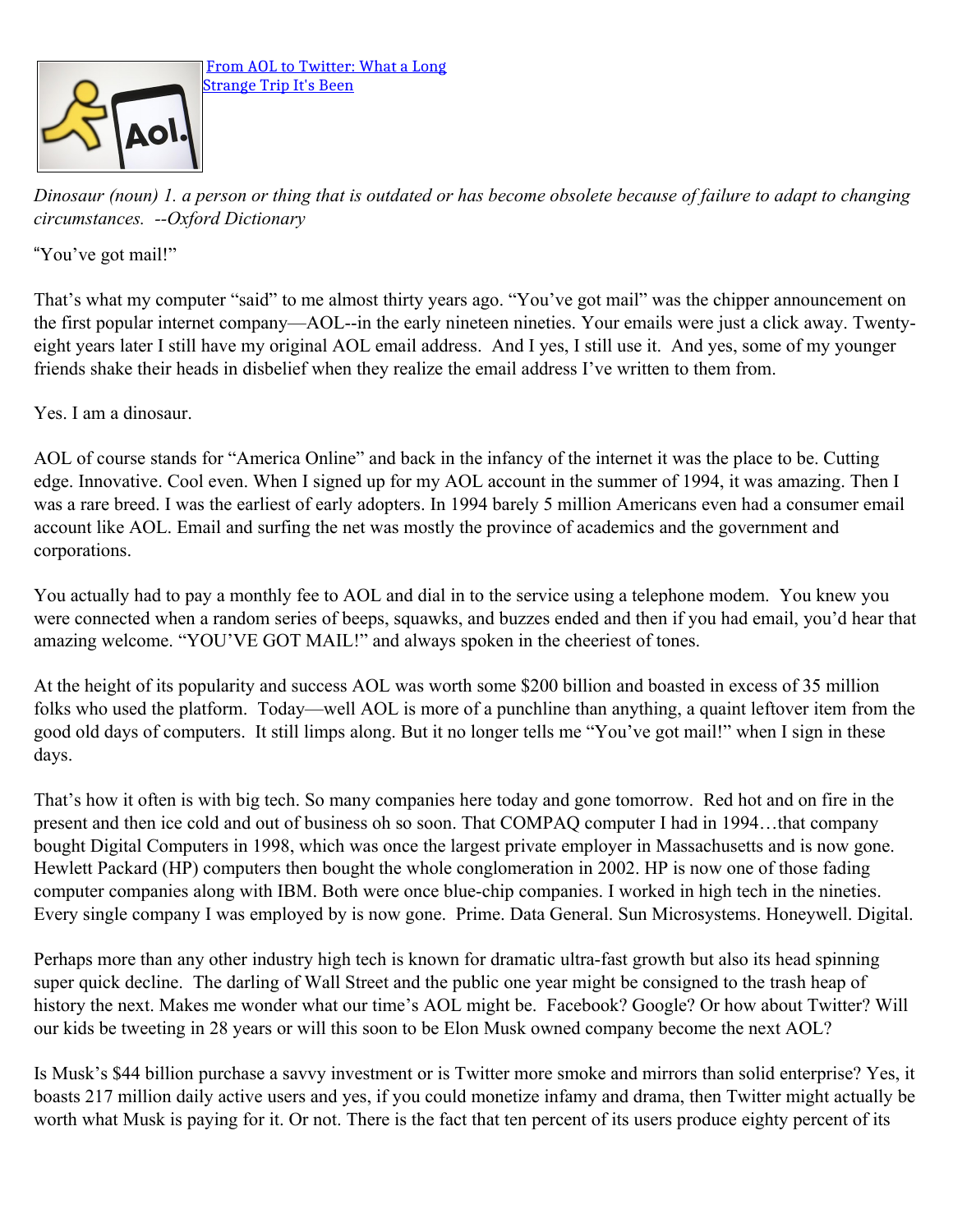

*Dinosaur (noun) 1. a person or thing that is outdated or has become obsolete because of failure to adapt to changing circumstances. --Oxford Dictionary*

"You've got mail!"

That's what my computer "said" to me almost thirty years ago. "You've got mail" was the chipper announcement on the first popular internet company—AOL--in the early nineteen nineties. Your emails were just a click away. Twentyeight years later I still have my original AOL email address. And I yes, I still use it. And yes, some of my younger friends shake their heads in disbelief when they realize the email address I've written to them from.

Yes. I am a dinosaur.

AOL of course stands for "America Online" and back in the infancy of the internet it was the place to be. Cutting edge. Innovative. Cool even. When I signed up for my AOL account in the summer of 1994, it was amazing. Then I was a rare breed. I was the earliest of early adopters. In 1994 barely 5 million Americans even had a consumer email account like AOL. Email and surfing the net was mostly the province of academics and the government and corporations.

You actually had to pay a monthly fee to AOL and dial in to the service using a telephone modem. You knew you were connected when a random series of beeps, squawks, and buzzes ended and then if you had email, you'd hear that amazing welcome. "YOU'VE GOT MAIL!" and always spoken in the cheeriest of tones.

At the height of its popularity and success AOL was worth some \$200 billion and boasted in excess of 35 million folks who used the platform. Today—well AOL is more of a punchline than anything, a quaint leftover item from the good old days of computers. It still limps along. But it no longer tells me "You've got mail!" when I sign in these days.

That's how it often is with big tech. So many companies here today and gone tomorrow. Red hot and on fire in the present and then ice cold and out of business oh so soon. That COMPAQ computer I had in 1994…that company bought Digital Computers in 1998, which was once the largest private employer in Massachusetts and is now gone. Hewlett Packard (HP) computers then bought the whole conglomeration in 2002. HP is now one of those fading computer companies along with IBM. Both were once blue-chip companies. I worked in high tech in the nineties. Every single company I was employed by is now gone. Prime. Data General. Sun Microsystems. Honeywell. Digital.

Perhaps more than any other industry high tech is known for dramatic ultra-fast growth but also its head spinning super quick decline. The darling of Wall Street and the public one year might be consigned to the trash heap of history the next. Makes me wonder what our time's AOL might be. Facebook? Google? Or how about Twitter? Will our kids be tweeting in 28 years or will this soon to be Elon Musk owned company become the next AOL?

Is Musk's \$44 billion purchase a savvy investment or is Twitter more smoke and mirrors than solid enterprise? Yes, it boasts 217 million daily active users and yes, if you could monetize infamy and drama, then Twitter might actually be worth what Musk is paying for it. Or not. There is the fact that ten percent of its users produce eighty percent of its